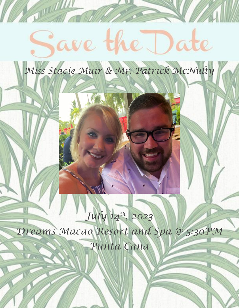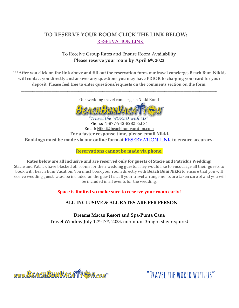## **TO RESERVE YOUR ROOM CLICK THE LINK BELOW:** [RESERVATION LINK](https://www.vacationcrm.com/IFrameRegistration/Group?lookupid=f04af814-d522-4b01-b822-4cdfa9b048e2&groupid=9470fb44-91e4-4f47-b501-208944161d52)

### To Receive Group Rates and Ensure Room Availability **Please reserve your room by April 6th, 2023**

**\*\*\*After you click on the link above and fill out the reservation form, our travel concierge, Beach Bum Nikki, will contact you directly and answer any questions you may have PRIOR to charging your card for your deposit. Please feel free to enter questions/requests on the comments section on the form.**

\_\_\_\_\_\_\_\_\_\_\_\_\_\_\_\_\_\_\_\_\_\_\_\_\_\_\_\_\_\_\_\_\_\_\_\_\_\_\_\_\_\_\_\_\_\_\_\_\_\_\_\_\_\_\_\_\_\_\_\_\_\_\_\_\_\_\_\_\_\_\_\_\_\_\_\_\_\_\_\_\_\_\_\_\_\_\_\_\_\_\_\_\_\_\_\_\_\_\_\_\_\_\_\_\_\_\_\_\_\_\_\_\_\_\_\_\_\_\_\_\_\_\_

Our wedding travel concierge is Nikki Bond



Phone: 1-877-943-8282 Ext 31 Email: Nikki@beachbumvacation.com **For a faster response time, please email Nikki. Bookings must be made via our online form at** [RESERVATION LINK](https://www.vacationcrm.com/IFrameRegistration/Group?lookupid=f04af814-d522-4b01-b822-4cdfa9b048e2&groupid=9470fb44-91e4-4f47-b501-208944161d52) **to ensure accuracy.** 

**Reservations cannot be made via phone.**

**Rates below are all inclusive and are reserved only for guests of Stacie and Patrick's Wedding!** Stacie and Patrick have blocked off rooms for their wedding guests. They would like to encourage all their guests to book with Beach Bum Vacation. You must book your room directly with **Beach Bum Nikki** to ensure that you will receive wedding guest rates, be included on the guest list, all your travel arrangements are taken care of and you will be included in all events for the wedding.

### **Space is limited so make sure to reserve your room early!**

### **ALL-INCLUSIVE & ALL RATES ARE PER PERSON**

**Dreams Macao Resort and Spa-Punta Cana** Travel Window July 12<sup>th</sup>-17<sup>th</sup>, 2023, minimum 3-night stay required

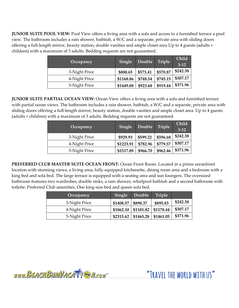**JUNIOR SUITE POOL VIEW:** Pool View offers a living area with a sofa and access to a furnished terrace a pool view. The bathroom includes a rain shower, bathtub, a W/C and a separate, private area with sliding doors offering a full-length mirror, beauty station, double vanities and ample closet area Up to 4 guests (adults + children) with a maximum of 3 adults. Bedding requests are not guaranteed.

| Occupancy     | Single    | Double   | Triple   | Child<br>$3 - 12$ |
|---------------|-----------|----------|----------|-------------------|
| 3-Night Price | \$888.65  | \$573.41 | \$570.87 | \$242.38          |
| 4-Night Price | \$1168.86 | \$748.54 | \$745.15 | \$307.17          |
| 5-Night Price | \$1449.08 | \$923.68 | \$919.44 | \$371.96          |

**JUNIOR SUITE PARTIAL OCEAN VIEW:** Ocean View offers a living area with a sofa and furnished terrace with partial ocean views. The bathroom includes a rain shower, bathtub, a W/C and a separate, private area with sliding doors offering a full-length mirror, beauty station, double vanities and ample closet area. Up to 4 guests (adults + children) with a maximum of 3 adults. Bedding requests are not guaranteed.

| Occupancy     | Single    | Double   | Triple   | Child<br>$3 - 12$ |
|---------------|-----------|----------|----------|-------------------|
| 3-Night Price | \$929.93  | \$599.22 | \$596.68 | \$242.38          |
| 4-Night Price | \$1223.91 | \$782.96 | \$779.57 | \$307.17          |
| 5-Night Price | \$1517.89 | \$966.70 | \$962.46 | \$371.96          |

**PREFERRED CLUB MASTER SUITE OCEAN FRONT:** Ocean Front Room. Located in a prime oceanfront location with stunning views, a living area, fully equipped kitchenette, dining room area and a bedroom with a king bed and sofa bed. The large terrace is equipped with a seating area and sun loungers. The oversized bathroom features two wardrobes, double sinks, a rain shower, whirlpool bathtub and a second bathroom with toilette. Preferred Club amenities. One king-size bed and queen sofa bed.

| Occupancy     | Single    | Double    | <b>Triple</b> |          |
|---------------|-----------|-----------|---------------|----------|
| 3-Night Price | \$1408.57 | \$898.37  | \$895.83      | \$242.38 |
| 4-Night Price | \$1862.10 | \$1181.82 | \$1178.44     | \$307.17 |
| 5-Night Price | \$2315.62 | \$1465.28 | \$1461.05     | \$371.96 |

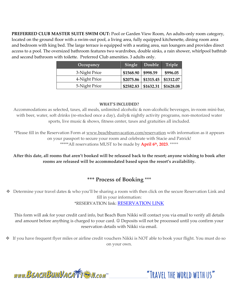**PREFERRED CLUB MASTER SUITE SWIM OUT:** Pool or Garden View Room, An adults-only room category, located on the ground floor with a swim-out pool, a living area, fully equipped kitchenette, dining room area and bedroom with king bed. The large terrace is equipped with a seating area, sun loungers and provides direct access to a pool. The oversized bathroom features two wardrobes, double sinks, a rain shower, whirlpool bathtub and second bathroom with toilette. Preferred Club amenities. 3 adults only.

| Occupancy     | Single    | Double                   | Triple               |
|---------------|-----------|--------------------------|----------------------|
| 3-Night Price | \$1568.90 | \$998.59                 | \$996.05             |
| 4-Night Price |           | $$2075.86 \mid $1315.45$ | \$1312.07            |
| 5-Night Price | \$2582.83 | \$1632.31                | $\frac{$1628.08}{ }$ |

#### **WHAT'S INCLUDED?**

Accommodations as selected, taxes, all meals, unlimited alcoholic & non-alcoholic beverages, in-room mini-bar, with beer, water, soft drinks (re-stocked once a day), daily& nightly activity programs, non-motorized water sports, live music & shows, fitness center, taxes and gratuities all included.

\*Please fill in the Reservation Form at [www.beachbumvacation.com/reservation](http://www.beachbumvacation.com/reservation) with information as it appears on your passport to secure your room and celebrate with Stacie and Patrick! \*\*\*\*\*All reservations MUST to be made by **April 6 th, 2023**. \*\*\*\*\*

**After this date, all rooms that aren't booked will be released back to the resort; anyone wishing to book after rooms are released will be accommodated based upon the resort's availability.** 

### **\*\*\* Process of Booking** \*\*\*

❖ Determine your travel dates & who you'll be sharing a room with then click on the secure Reservation Link and fill in your information:

\*RESERVATION link: [RESERVATION LINK](https://www.vacationcrm.com/IFrameRegistration/Group?lookupid=f04af814-d522-4b01-b822-4cdfa9b048e2&groupid=9470fb44-91e4-4f47-b501-208944161d52)

This form will ask for your credit card info, but Beach Bum Nikki will contact you via email to verify all details and amount before anything is charged to your card. ☺ Deposits will not be processed until you confirm your reservation details with Nikki via email.

❖ If you have frequent flyer miles or airline credit vouchers Nikki is NOT able to book your flight. You must do so on your own.

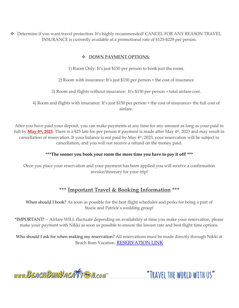❖ Determine if you want travel protection. It's highly recommended! CANCEL FOR ANY REASON TRAVEL INSURANCE is currently available at a promotional rate of \$125-\$229 per person.

#### ❖ **DOWN PAYMENT OPTIONS:**

1) Room Only: It's just \$150 per person to book just the room.

2) Room with insurance: It's just \$150 per person + the cost of insurance

3) Room and flights without insurance: It's \$150 per person + total airfare cost.

4) Room and flights with insurance: It's just \$150 per person + the cost of insurance+ the full cost of airfare.

After you have paid your deposit, you can make payments at any time for any amount as long as your paid in full by **May 4th, 2023**. There is a \$25 late fee per person if payment is made after May 4th, 2023 and may result in cancellation of reservation. If your balance is not paid by May  $4<sup>th</sup>$ , 2023, your reservation will be subject to cancellation, and you will not receive a refund on the money paid.

#### **\*\*\*The sooner you book your room the more time you have to pay it off! \*\*\***

Once you place your reservation and your payment has been applied you will receive a confirmation invoice/itinerary for your trip!

## **\*\*\* Important Travel & Booking Information \*\*\***

When should I book? As soon as possible for the best flight schedules and perks for being a part of Stacie and Patrick's wedding group!

\*IMPORTANT! -- Airfare WILL fluctuate depending on availability at time you make your reservation, please make your payment with Nikki as soon as possible to ensure the lowest rate and best flight time options.

Who should I ask for when making my reservation? All reservations must be made directly through Nikki at Beach Bum Vacation. [RESERVATION LINK](https://www.vacationcrm.com/IFrameRegistration/Group?lookupid=f04af814-d522-4b01-b822-4cdfa9b048e2&groupid=9470fb44-91e4-4f47-b501-208944161d52)

www.BEACHBUMVACATTE M.com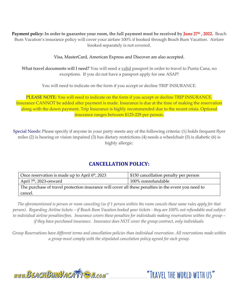**Payment policy: In order to guarantee your room, the full payment must be received by June 27th , 2022.** Beach Bum Vacation's insurance policy will cover your airfare 100% if booked through Beach Bum Vacation. Airfare booked separately is not covered.

Visa, MasterCard, American Express and Discover are also accepted.

What travel documents will I need? You will need a valid passport in order to travel to Punta Cana, no exceptions. If you do not have a passport apply for one ASAP!

You will need to indicate on the form if you accept or decline TRIP INSURANCE.

PLEASE NOTE: You will need to indicate on the form if you accept or decline TRIP INSURANCE. Insurance CANNOT be added after payment is made. Insurance is due at the time of making the reservation along with the down payment. Trip Insurance is highly recommended due to the recent crisis. Optional insurance ranges between \$125-229 per person.

Special Needs: Please specify if anyone in your party meets any of the following criteria: (1) holds frequent flyer miles (2) is hearing or vision impaired (3) has dietary restrictions (4) needs a wheelchair (5) is diabetic (6) is highly allergic.

# **CANCELLATION POLICY:**

| Once reservation is made up to April 6 <sup>th</sup> , 2023                                         | \$150 cancellation penalty per person |  |
|-----------------------------------------------------------------------------------------------------|---------------------------------------|--|
| April $7th$ , 2023-onward                                                                           | 100% nonrefundable                    |  |
| The purchase of travel protection insurance will cover all these penalties in the event you need to |                                       |  |
| cancel.                                                                                             |                                       |  |

*The aforementioned is person or room canceling (so if 1 person within the room cancels these same rules apply for that person). Regarding Airline tickets – if Beach Bum Vacation booked your tickets - they are 100% not refundable and subject to individual airline penalties/fees. Insurance covers these penalties for individuals making reservations within the group – if they have purchased insurance. Insurance does NOT cover the group contract, only individuals.* 

*Group Reservations have different terms and cancellation policies than individual reservation. All reservations made within a group must comply with the stipulated cancelation policy agreed for each group.*

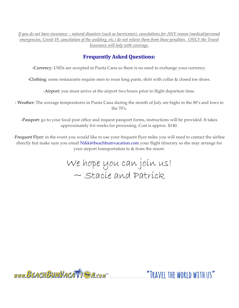*If you do not have insurance – natural disasters (such as hurricanes), cancelations for ANY reason (medical/personal emergencies, Covid-19, cancelation of the wedding, etc.) do not relieve them from these penalties. ONLY the Travel Insurance will help with coverage.*

## **Frequently Asked Questions:**

-Currency: USDs are accepted in Punta Cana so there is no need to exchange your currency.

-Clothing: some restaurants require men to wear long pants, shirt with collar & closed toe shoes.

-Airport: you must arrive at the airport two hours prior to flight departure time.

- Weather: The average temperatures in Punta Cana during the month of July are highs in the 80's and lows in the  $70's$ .

-Passport: go to your local post office and request passport forms, instructions will be provided. It takes approximately 4-6 weeks for processing. Cost is approx. \$140.

-Frequent Flyer: in the event you would like to use your frequent flyer miles you will need to contact the airline directly but make sure you email Nikki@beachbumvacation.com your flight itinerary so she may arrange for your airport transportation to & from the resort.

> We hope you can join us! ~ Stacie and Patrick

www.BEACHBUMVACATTE M.com